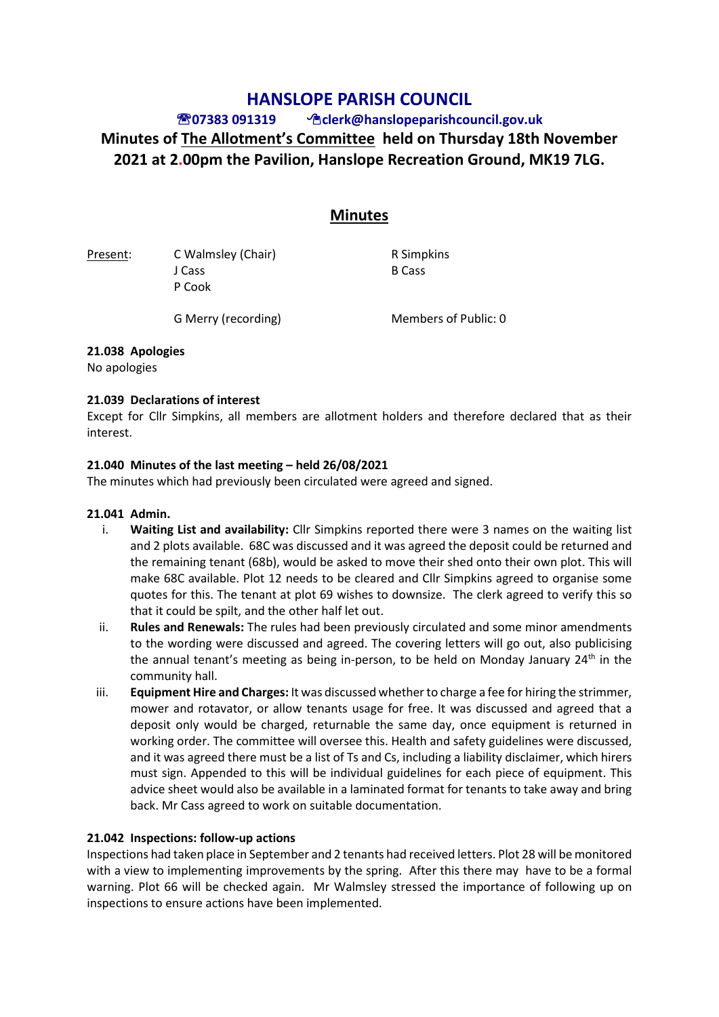# **HANSLOPE PARISH COUNCIL**

# **07383 091319 clerk@hanslopeparishcouncil.gov.uk Minutes of The Allotment's Committee held on Thursday 18th November 2021 at 2.00pm the Pavilion, Hanslope Recreation Ground, MK19 7LG.**

# **Minutes**

Present: C Walmsley (Chair) R Simpkins J Cass B Cass P Cook

G Merry (recording) Members of Public: 0

## **21.038 Apologies**

No apologies

## **21.039 Declarations of interest**

Except for Cllr Simpkins, all members are allotment holders and therefore declared that as their interest.

## **21.040 Minutes of the last meeting – held 26/08/2021**

The minutes which had previously been circulated were agreed and signed.

#### **21.041 Admin.**

- i. **Waiting List and availability:** Cllr Simpkins reported there were 3 names on the waiting list and 2 plots available. 68C was discussed and it was agreed the deposit could be returned and the remaining tenant (68b), would be asked to move their shed onto their own plot. This will make 68C available. Plot 12 needs to be cleared and Cllr Simpkins agreed to organise some quotes for this. The tenant at plot 69 wishes to downsize. The clerk agreed to verify this so that it could be spilt, and the other half let out.
- ii. **Rules and Renewals:** The rules had been previously circulated and some minor amendments to the wording were discussed and agreed. The covering letters will go out, also publicising the annual tenant's meeting as being in-person, to be held on Monday January  $24<sup>th</sup>$  in the community hall.
- iii. **Equipment Hire and Charges:** It was discussed whether to charge a fee for hiring the strimmer, mower and rotavator, or allow tenants usage for free. It was discussed and agreed that a deposit only would be charged, returnable the same day, once equipment is returned in working order. The committee will oversee this. Health and safety guidelines were discussed, and it was agreed there must be a list of Ts and Cs, including a liability disclaimer, which hirers must sign. Appended to this will be individual guidelines for each piece of equipment. This advice sheet would also be available in a laminated format for tenants to take away and bring back. Mr Cass agreed to work on suitable documentation.

# **21.042 Inspections: follow-up actions**

Inspections had taken place in September and 2 tenants had received letters. Plot 28 will be monitored with a view to implementing improvements by the spring. After this there may have to be a formal warning. Plot 66 will be checked again. Mr Walmsley stressed the importance of following up on inspections to ensure actions have been implemented.